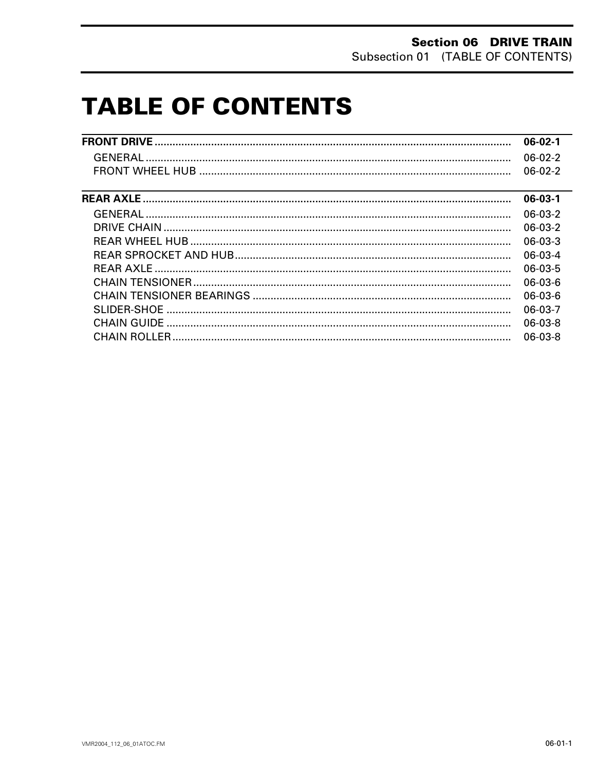# **TABLE OF CONTENTS**

|                                                                                                        | $06-02-1$     |
|--------------------------------------------------------------------------------------------------------|---------------|
|                                                                                                        | $06-02-2$     |
|                                                                                                        | $06-02-2$     |
| <u> 1989 - Andrea Andrew Maria (h. 1989).</u><br>2001 - Maria Garristo, martxa eta batailar (h. 1989). | $06 - 03 - 1$ |
|                                                                                                        | $06-03-2$     |
|                                                                                                        | $06-03-2$     |
|                                                                                                        | $06 - 03 - 3$ |
|                                                                                                        | $06-03-4$     |
|                                                                                                        | $06-03-5$     |
|                                                                                                        | $06-03-6$     |
|                                                                                                        | $06-03-6$     |
|                                                                                                        | 06-03-7       |
|                                                                                                        | $06-03-8$     |
|                                                                                                        | 06-03-8       |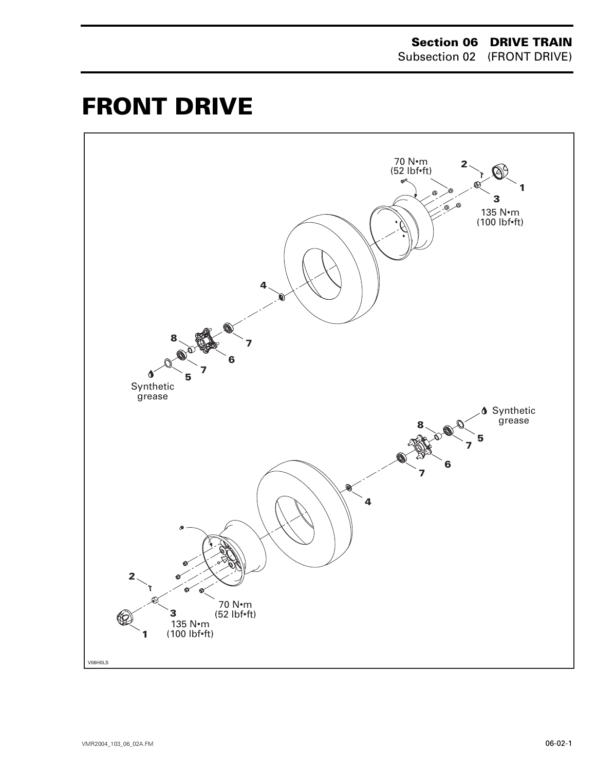# <span id="page-1-0"></span>**FRONT DRIVE 0**

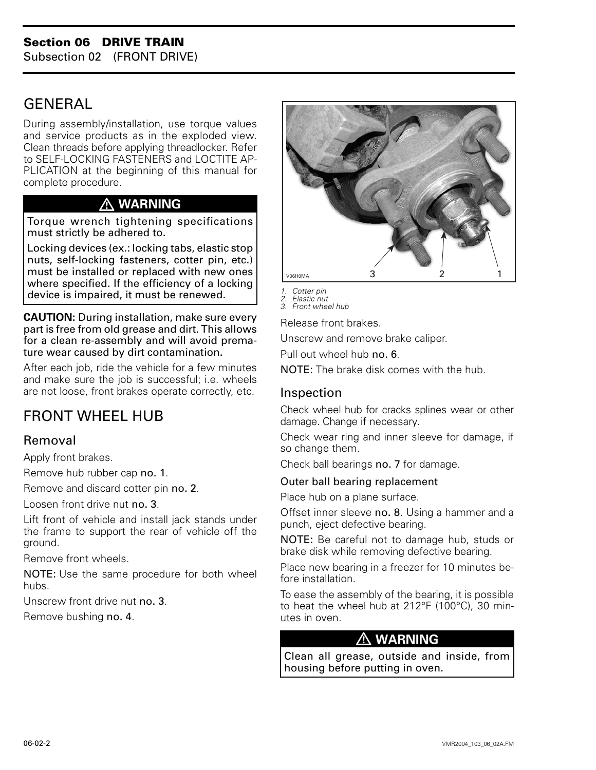# <span id="page-2-0"></span>**GENERAL**

During assembly/installation, use torque values and service products as in the exploded view. Clean threads before applying threadlocker. Refer to SELF-LOCKING FASTENERS and LOCTITE AP-PLICATION at the beginning of this manual for complete procedure.

# **WARNING**

Torque wrench tightening specifications must strictly be adhered to.

Locking devices (ex.: locking tabs, elastic stop nuts, self-locking fasteners, cotter pin, etc.) must be installed or replaced with new ones where specified. If the efficiency of a locking device is impaired, it must be renewed.

**CAUTION:** During installation, make sure every part is free from old grease and dirt. This allows for a clean re-assembly and will avoid premature wear caused by dirt contamination.

After each job, ride the vehicle for a few minutes and make sure the job is successful; i.e. wheels are not loose, front brakes operate correctly, etc.

# FRONT WHEEL HUB

# Removal

Apply front brakes.

Remove hub rubber cap no. 1.

Remove and discard cotter pin no. 2.

Loosen front drive nut no. 3.

Lift front of vehicle and install jack stands under the frame to support the rear of vehicle off the ground.

Remove front wheels.

NOTE: Use the same procedure for both wheel hubs.

Unscrew front drive nut no. 3.

Remove bushing no. 4.



*1. Cotter pin*

*2. Elastic nut 3. Front wheel hub*

Release front brakes.

Unscrew and remove brake caliper.

Pull out wheel hub no. 6.

NOTE: The brake disk comes with the hub.

#### Inspection

Check wheel hub for cracks splines wear or other damage. Change if necessary.

Check wear ring and inner sleeve for damage, if so change them.

Check ball bearings no. 7 for damage.

#### Outer ball bearing replacement

Place hub on a plane surface.

Offset inner sleeve no. 8. Using a hammer and a punch, eject defective bearing.

NOTE: Be careful not to damage hub, studs or brake disk while removing defective bearing.

Place new bearing in a freezer for 10 minutes before installation.

To ease the assembly of the bearing, it is possible to heat the wheel hub at 212°F (100°C), 30 minutes in oven.

# **WARNING**

Clean all grease, outside and inside, from housing before putting in oven.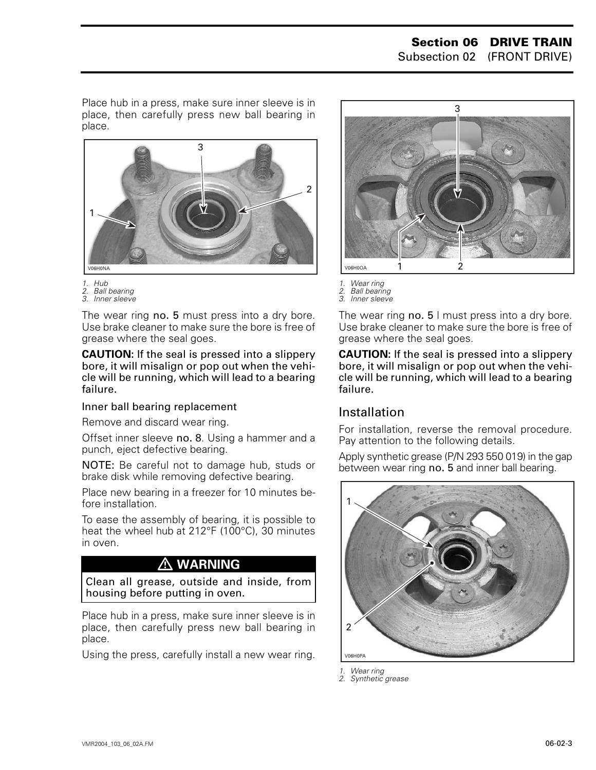Place hub in a press, make sure inner sleeve is in place, then carefully press new ball bearing in place.



- *1. Hub 2. Ball bearing*
- *3. Inner sleeve*

The wear ring no. 5 must press into a dry bore. Use brake cleaner to make sure the bore is free of grease where the seal goes.

**CAUTION:** If the seal is pressed into a slippery bore, it will misalign or pop out when the vehicle will be running, which will lead to a bearing failure.

#### Inner ball bearing replacement

Remove and discard wear ring.

Offset inner sleeve no. 8. Using a hammer and a punch, eject defective bearing.

NOTE: Be careful not to damage hub, studs or brake disk while removing defective bearing.

Place new bearing in a freezer for 10 minutes before installation.

To ease the assembly of bearing, it is possible to heat the wheel hub at 212°F (100°C), 30 minutes in oven.

# **WARNING**

Clean all grease, outside and inside, from housing before putting in oven.

Place hub in a press, make sure inner sleeve is in place, then carefully press new ball bearing in place.

Using the press, carefully install a new wear ring.



- *1. Wear ring 2. Ball bearing*
- *3. Inner sleeve*

The wear ring no. 5 I must press into a dry bore. Use brake cleaner to make sure the bore is free of grease where the seal goes.

**CAUTION:** If the seal is pressed into a slippery bore, it will misalign or pop out when the vehicle will be running, which will lead to a bearing failure.

# Installation

For installation, reverse the removal procedure. Pay attention to the following details.

Apply synthetic grease (P/N 293 550 019) in the gap between wear ring no. 5 and inner ball bearing.



*1. Wear ring 2. Synthetic grease*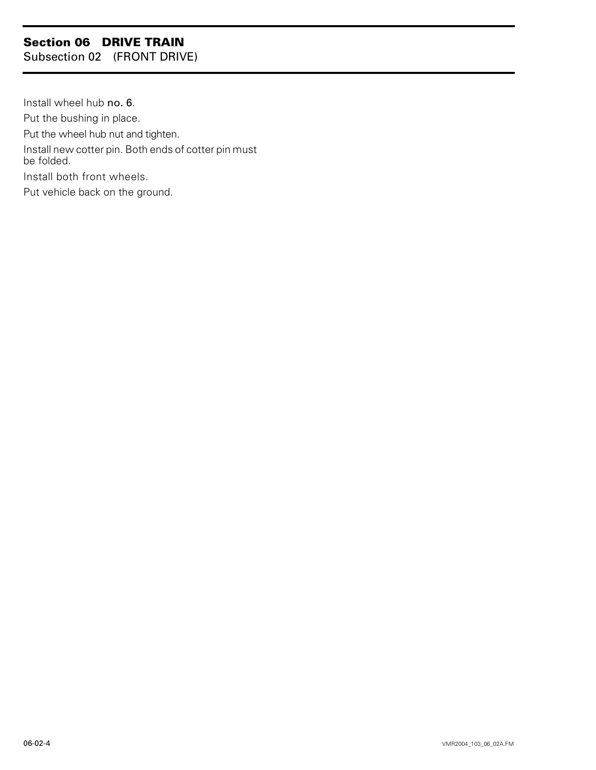# **Section 06 DRIVE TRAIN**

Subsection 02 (FRONT DRIVE)

Install wheel hub no. 6. Put the bushing in place. Put the wheel hub nut and tighten. Install new cotter pin. Both ends of cotter pin must be folded. Install both front wheels. Put vehicle back on the ground.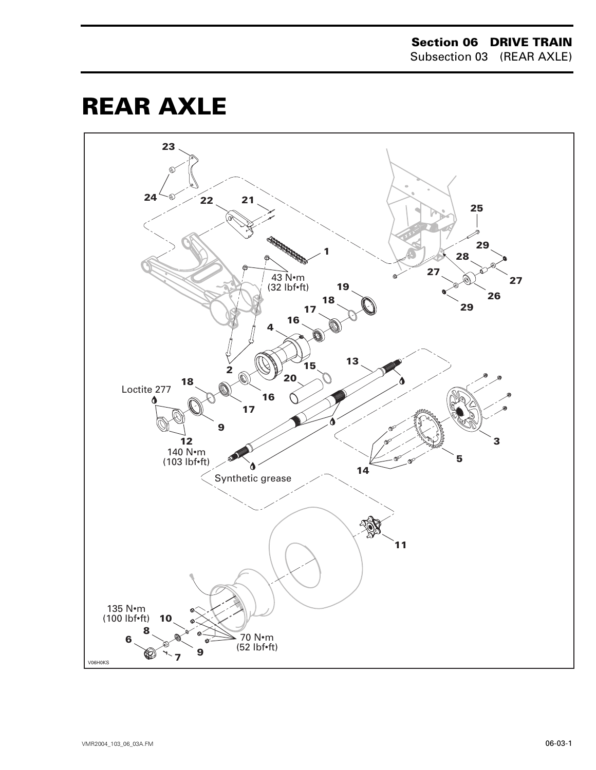# <span id="page-5-0"></span>**REAR AXLE**

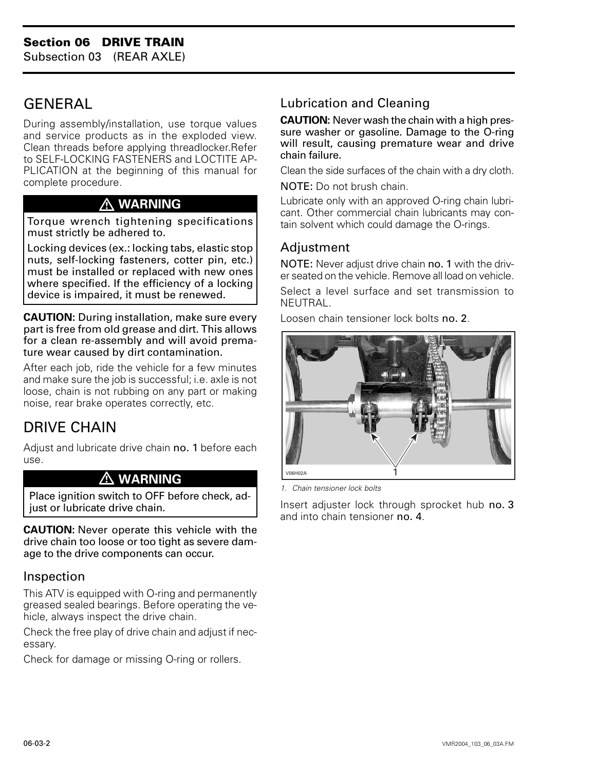# <span id="page-6-0"></span>**GENERAL**

During assembly/installation, use torque values and service products as in the exploded view. Clean threads before applying threadlocker.Refer to SELF-LOCKING FASTENERS and LOCTITE AP-PLICATION at the beginning of this manual for complete procedure.

# **WARNING**

Torque wrench tightening specifications must strictly be adhered to.

Locking devices (ex.: locking tabs, elastic stop nuts, self-locking fasteners, cotter pin, etc.) must be installed or replaced with new ones where specified. If the efficiency of a locking device is impaired, it must be renewed.

**CAUTION:** During installation, make sure every part is free from old grease and dirt. This allows for a clean re-assembly and will avoid premature wear caused by dirt contamination.

After each job, ride the vehicle for a few minutes and make sure the job is successful; i.e. axle is not loose, chain is not rubbing on any part or making noise, rear brake operates correctly, etc.

# DRIVE CHAIN

Adjust and lubricate drive chain no. 1 before each use.

#### **WARNING**

Place ignition switch to OFF before check, adjust or lubricate drive chain.

**CAUTION:** Never operate this vehicle with the drive chain too loose or too tight as severe damage to the drive components can occur.

# Inspection

This ATV is equipped with O-ring and permanently greased sealed bearings. Before operating the vehicle, always inspect the drive chain.

Check the free play of drive chain and adjust if necessary.

Check for damage or missing O-ring or rollers.

# Lubrication and Cleaning

**CAUTION:** Never wash the chain with a high pressure washer or gasoline. Damage to the O-ring will result, causing premature wear and drive chain failure.

Clean the side surfaces of the chain with a dry cloth.

NOTE: Do not brush chain.

Lubricate only with an approved O-ring chain lubricant. Other commercial chain lubricants may contain solvent which could damage the O-rings.

## Adjustment

NOTE: Never adjust drive chain no. 1 with the driver seated on the vehicle. Remove all load on vehicle.

Select a level surface and set transmission to NEUTRAL.

Loosen chain tensioner lock bolts no. 2.



*1. Chain tensioner lock bolts*

Insert adjuster lock through sprocket hub no. 3 and into chain tensioner no. 4.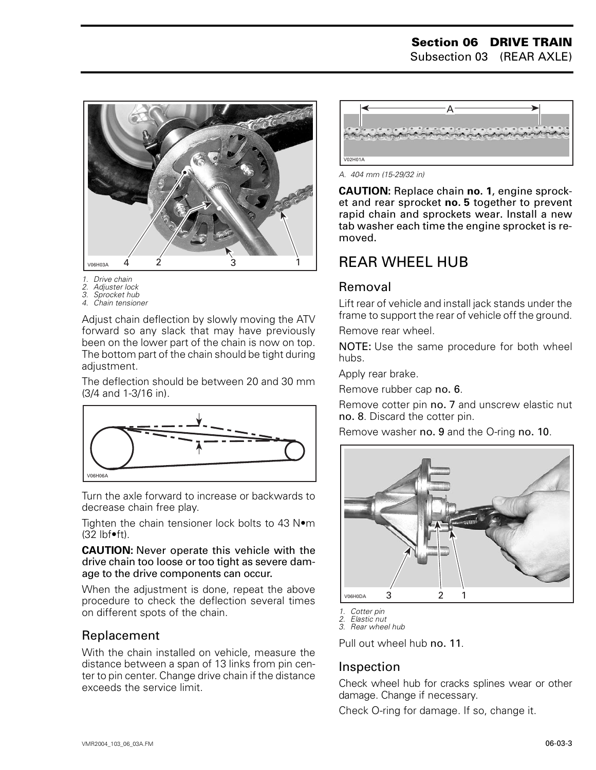

- *1. Drive chain*
- *2. Adjuster lock*
- *3. Sprocket hub 4. Chain tensioner*

Adjust chain deflection by slowly moving the ATV forward so any slack that may have previously been on the lower part of the chain is now on top. The bottom part of the chain should be tight during adjustment.

The deflection should be between 20 and 30 mm (3/4 and 1-3/16 in).



Turn the axle forward to increase or backwards to decrease chain free play.

Tighten the chain tensioner lock bolts to 43 N•m  $(32)$  lbf $\bullet$ ft).

**CAUTION:** Never operate this vehicle with the drive chain too loose or too tight as severe damage to the drive components can occur.

When the adjustment is done, repeat the above procedure to check the deflection several times on different spots of the chain.

#### Replacement

With the chain installed on vehicle, measure the distance between a span of 13 links from pin center to pin center. Change drive chain if the distance exceeds the service limit.



*A. 404 mm (15-29/32 in)*

**CAUTION:** Replace chain **no. 1**, engine sprocket and rear sprocket **no. 5** together to prevent rapid chain and sprockets wear. Install a new tab washer each time the engine sprocket is removed.

# <span id="page-7-0"></span>REAR WHEEL HUB

## Removal

Lift rear of vehicle and install jack stands under the frame to support the rear of vehicle off the ground.

Remove rear wheel.

NOTE: Use the same procedure for both wheel hubs.

Apply rear brake.

Remove rubber cap no. 6.

Remove cotter pin no. 7 and unscrew elastic nut no. 8. Discard the cotter pin.

Remove washer no. 9 and the O-ring no. 10.



*1. Cotter pin*

*2. Elastic nut*

*3. Rear wheel hub*

Pull out wheel hub no. 11.

#### Inspection

Check wheel hub for cracks splines wear or other damage. Change if necessary.

Check O-ring for damage. If so, change it.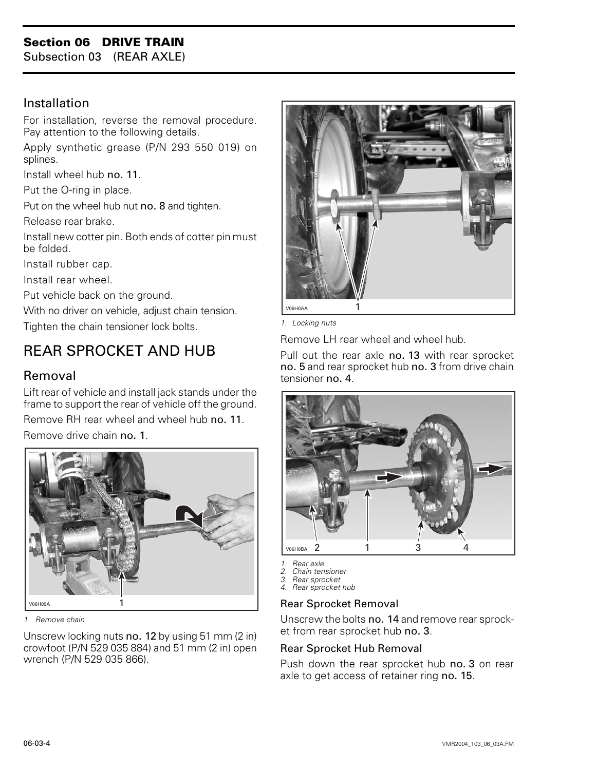# **Section 06 DRIVE TRAIN**

Subsection 03 (REAR AXLE)

## Installation

For installation, reverse the removal procedure. Pay attention to the following details.

Apply synthetic grease (P/N 293 550 019) on splines.

Install wheel hub no. 11.

Put the O-ring in place.

Put on the wheel hub nut no. 8 and tighten.

Release rear brake.

Install new cotter pin. Both ends of cotter pin must be folded.

Install rubber cap.

Install rear wheel.

Put vehicle back on the ground.

With no driver on vehicle, adjust chain tension. Tighten the chain tensioner lock bolts.

# <span id="page-8-0"></span>REAR SPROCKET AND HUB

# Removal

Lift rear of vehicle and install jack stands under the frame to support the rear of vehicle off the ground.

Remove RH rear wheel and wheel hub no. 11. Remove drive chain no. 1.



*1. Remove chain*

Unscrew locking nuts no. 12 by using 51 mm (2 in) crowfoot (P/N 529 035 884) and 51 mm (2 in) open wrench (P/N 529 035 866).



*1. Locking nuts*

Remove LH rear wheel and wheel hub.

Pull out the rear axle no. 13 with rear sprocket no. 5 and rear sprocket hub no. 3 from drive chain tensioner no. 4.



- 
- *1. Rear axle 2. Chain tensioner*
- *3. Rear sprocket 4. Rear sprocket hub*

#### Rear Sprocket Removal

Unscrew the bolts no. 14 and remove rear sprocket from rear sprocket hub no. 3.

#### Rear Sprocket Hub Removal

Push down the rear sprocket hub no. 3 on rear axle to get access of retainer ring no. 15.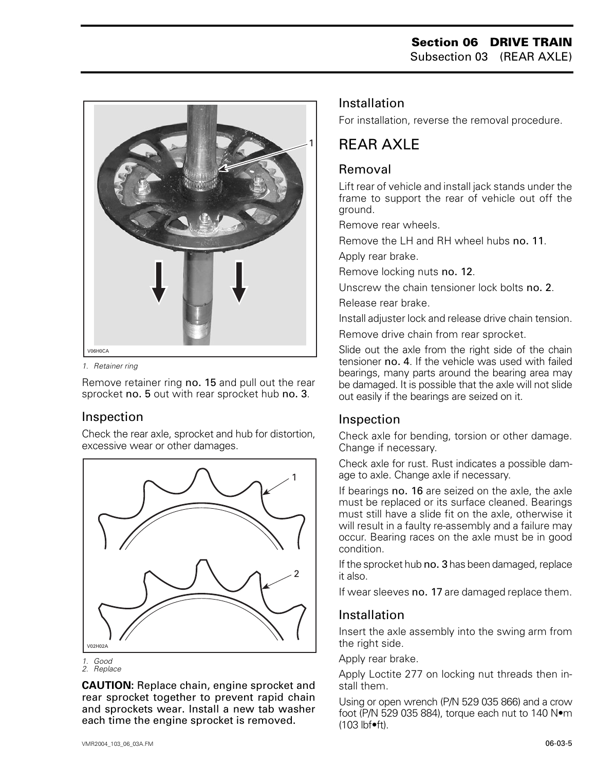

*1. Retainer ring*

Remove retainer ring no. 15 and pull out the rear sprocket no. 5 out with rear sprocket hub no. 3.

#### Inspection

Check the rear axle, sprocket and hub for distortion, excessive wear or other damages.



*<sup>2.</sup> Replace*

**CAUTION:** Replace chain, engine sprocket and rear sprocket together to prevent rapid chain and sprockets wear. Install a new tab washer each time the engine sprocket is removed.

For installation, reverse the removal procedure.

# <span id="page-9-0"></span>REAR AXLE

# Removal

Lift rear of vehicle and install jack stands under the frame to support the rear of vehicle out off the ground.

Remove rear wheels.

Remove the LH and RH wheel hubs no. 11.

Apply rear brake.

Remove locking nuts no. 12.

Unscrew the chain tensioner lock bolts no. 2.

Release rear brake.

Install adjuster lock and release drive chain tension.

Remove drive chain from rear sprocket.

Slide out the axle from the right side of the chain tensioner no. 4. If the vehicle was used with failed bearings, many parts around the bearing area may be damaged. It is possible that the axle will not slide out easily if the bearings are seized on it.

# Inspection

Check axle for bending, torsion or other damage. Change if necessary.

Check axle for rust. Rust indicates a possible damage to axle. Change axle if necessary.

If bearings no. 16 are seized on the axle, the axle must be replaced or its surface cleaned. Bearings must still have a slide fit on the axle, otherwise it will result in a faulty re-assembly and a failure may occur. Bearing races on the axle must be in good condition.

If the sprocket hub no. 3 has been damaged, replace it also.

If wear sleeves no. 17 are damaged replace them.

# Installation

Insert the axle assembly into the swing arm from the right side.

Apply rear brake.

Apply Loctite 277 on locking nut threads then install them.

Using or open wrench (P/N 529 035 866) and a crow foot (P/N 529 035 884), torque each nut to 140 N•m  $(103 \text{ lbf}$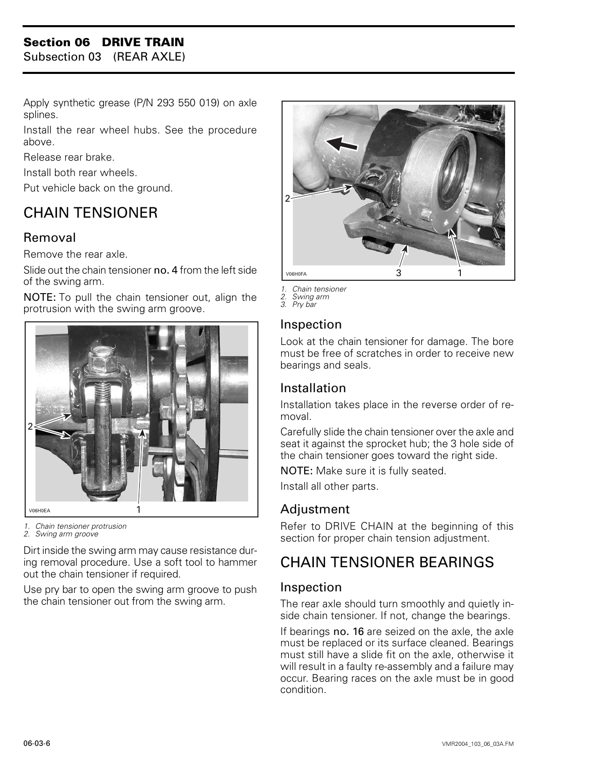# **Section 06 DRIVE TRAIN**

Subsection 03 (REAR AXLE)

Apply synthetic grease (P/N 293 550 019) on axle splines.

Install the rear wheel hubs. See the procedure above.

Release rear brake.

Install both rear wheels.

Put vehicle back on the ground.

# <span id="page-10-0"></span>CHAIN TENSIONER

## Removal

Remove the rear axle.

Slide out the chain tensioner no. 4 from the left side of the swing arm.

NOTE: To pull the chain tensioner out, align the protrusion with the swing arm groove.



*1. Chain tensioner protrusion*

*2. Swing arm groove*

Dirt inside the swing arm may cause resistance during removal procedure. Use a soft tool to hammer out the chain tensioner if required.

Use pry bar to open the swing arm groove to push the chain tensioner out from the swing arm.



*1. Chain tensioner* 

- *2. Swing arm 3. Pry bar*
- 

#### Inspection

Look at the chain tensioner for damage. The bore must be free of scratches in order to receive new bearings and seals.

#### Installation

Installation takes place in the reverse order of removal.

Carefully slide the chain tensioner over the axle and seat it against the sprocket hub; the 3 hole side of the chain tensioner goes toward the right side.

NOTE: Make sure it is fully seated.

Install all other parts.

# Adjustment

Refer to DRIVE CHAIN at the beginning of this section for proper chain tension adjustment.

# CHAIN TENSIONER BEARINGS

#### Inspection

The rear axle should turn smoothly and quietly inside chain tensioner. If not, change the bearings.

If bearings no. 16 are seized on the axle, the axle must be replaced or its surface cleaned. Bearings must still have a slide fit on the axle, otherwise it will result in a faulty re-assembly and a failure may occur. Bearing races on the axle must be in good condition.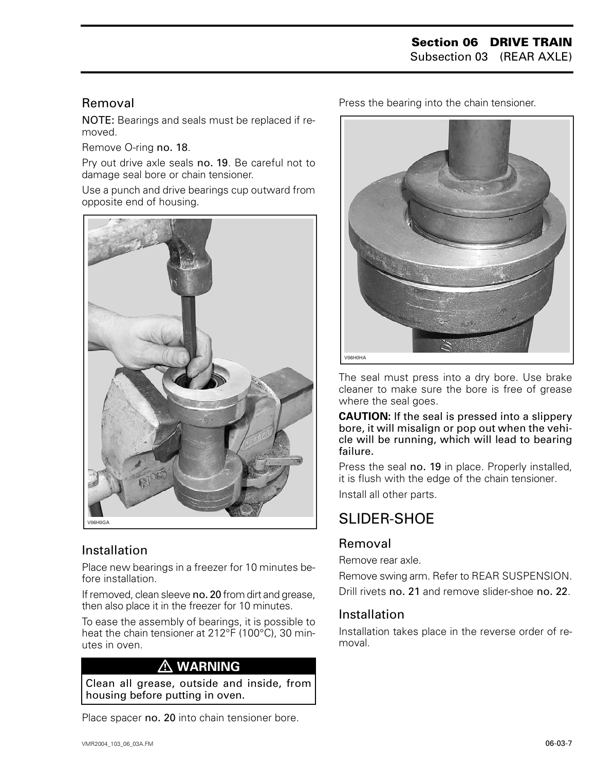#### Removal

NOTE: Bearings and seals must be replaced if removed.

Remove O-ring no. 18.

Pry out drive axle seals no. 19. Be careful not to damage seal bore or chain tensioner.

Use a punch and drive bearings cup outward from opposite end of housing.



# Installation

Place new bearings in a freezer for 10 minutes before installation.

If removed, clean sleeve no. 20 from dirt and grease, then also place it in the freezer for 10 minutes.

To ease the assembly of bearings, it is possible to heat the chain tensioner at 212°F (100°C), 30 minutes in oven.

# **WARNING**

Clean all grease, outside and inside, from housing before putting in oven.

Place spacer no. 20 into chain tensioner bore.

Press the bearing into the chain tensioner.



The seal must press into a dry bore. Use brake cleaner to make sure the bore is free of grease where the seal goes.

**CAUTION:** If the seal is pressed into a slippery bore, it will misalign or pop out when the vehicle will be running, which will lead to bearing failure.

Press the seal no. 19 in place. Properly installed, it is flush with the edge of the chain tensioner.

Install all other parts.

# <span id="page-11-0"></span>SLIDER-SHOF

# Removal

Remove rear axle.

Remove swing arm. Refer to REAR SUSPENSION. Drill rivets no. 21 and remove slider-shoe no. 22.

# Installation

Installation takes place in the reverse order of removal.